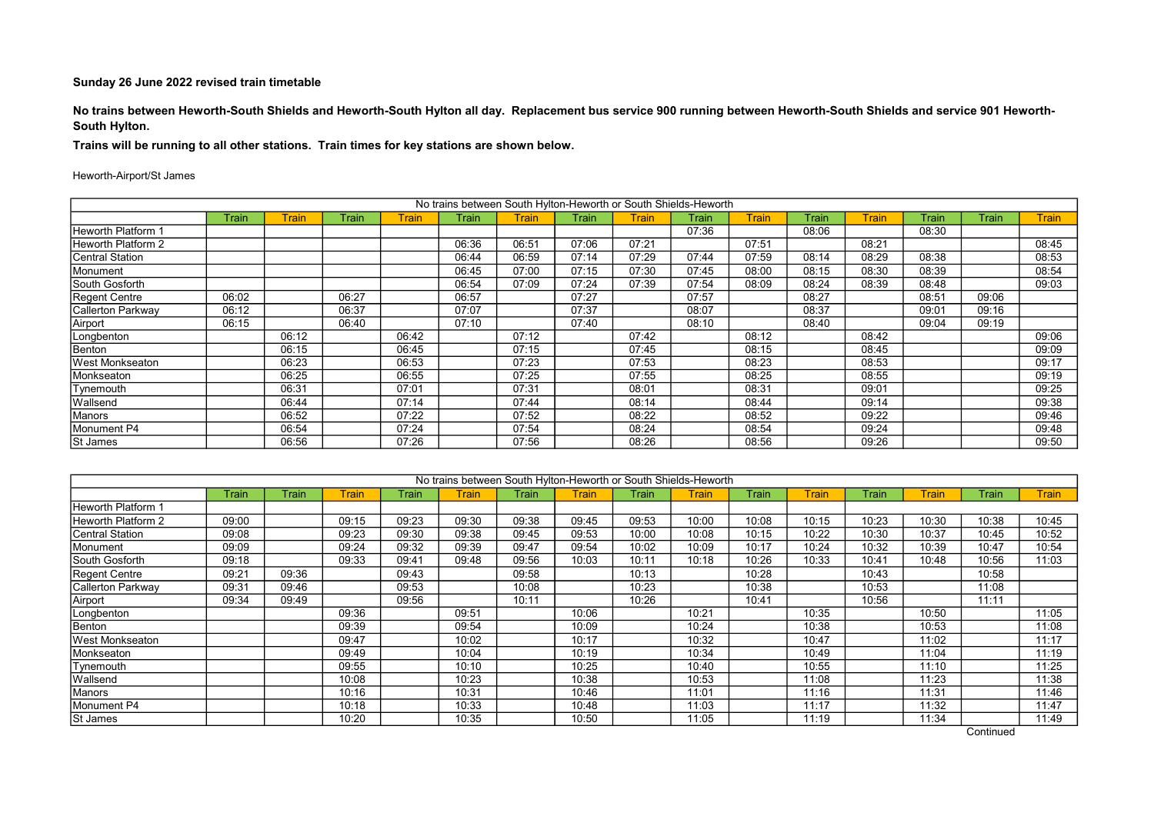No trains between Heworth-South Shields and Heworth-South Hylton all day. Replacement bus service 900 running between Heworth-South Shields and service 901 Heworth-South Hylton.

Trains will be running to all other stations. Train times for key stations are shown below.

#### Heworth-Airport/St James

|                    |       |       |       |         |       |              | No trains between South Hylton-Heworth or South Shields-Heworth |       |       |              |       |              |       |       |              |
|--------------------|-------|-------|-------|---------|-------|--------------|-----------------------------------------------------------------|-------|-------|--------------|-------|--------------|-------|-------|--------------|
|                    | Train | Train | Train | Frain l | Train | <b>Train</b> | Train                                                           | Train | Train | <b>Train</b> | Train | <b>Train</b> | Train | Train | <b>Train</b> |
| Heworth Platform 1 |       |       |       |         |       |              |                                                                 |       | 07:36 |              | 08:06 |              | 08:30 |       |              |
| Heworth Platform 2 |       |       |       |         | 06:36 | 06:51        | 07:06                                                           | 07:21 |       | 07:51        |       | 08:21        |       |       | 08:45        |
| Central Station    |       |       |       |         | 06:44 | 06:59        | 07:14                                                           | 07:29 | 07:44 | 07:59        | 08:14 | 08:29        | 08:38 |       | 08:53        |
| Monument           |       |       |       |         | 06:45 | 07:00        | 07:15                                                           | 07:30 | 07:45 | 08:00        | 08:15 | 08:30        | 08:39 |       | 08:54        |
| South Gosforth     |       |       |       |         | 06:54 | 07:09        | 07:24                                                           | 07:39 | 07:54 | 08:09        | 08:24 | 08:39        | 08:48 |       | 09:03        |
| Regent Centre      | 06:02 |       | 06:27 |         | 06:57 |              | 07:27                                                           |       | 07:57 |              | 08:27 |              | 08:51 | 09:06 |              |
| Callerton Parkway  | 06:12 |       | 06:37 |         | 07:07 |              | 07:37                                                           |       | 08:07 |              | 08:37 |              | 09:01 | 09:16 |              |
| Airport            | 06:15 |       | 06:40 |         | 07:10 |              | 07:40                                                           |       | 08:10 |              | 08:40 |              | 09:04 | 09:19 |              |
| Longbenton         |       | 06:12 |       | 06:42   |       | 07:12        |                                                                 | 07:42 |       | 08:12        |       | 08:42        |       |       | 09:06        |
| Benton             |       | 06:15 |       | 06:45   |       | 07:15        |                                                                 | 07:45 |       | 08:15        |       | 08:45        |       |       | 09:09        |
| West Monkseaton    |       | 06:23 |       | 06:53   |       | 07:23        |                                                                 | 07:53 |       | 08:23        |       | 08:53        |       |       | 09:17        |
| Monkseaton         |       | 06:25 |       | 06:55   |       | 07:25        |                                                                 | 07:55 |       | 08:25        |       | 08:55        |       |       | 09:19        |
| Tynemouth          |       | 06:31 |       | 07:01   |       | 07:31        |                                                                 | 08:01 |       | 08:31        |       | 09:01        |       |       | 09:25        |
| Wallsend           |       | 06:44 |       | 07:14   |       | 07:44        |                                                                 | 08:14 |       | 08:44        |       | 09:14        |       |       | 09:38        |
| Manors             |       | 06:52 |       | 07:22   |       | 07:52        |                                                                 | 08:22 |       | 08:52        |       | 09:22        |       |       | 09:46        |
| Monument P4        |       | 06:54 |       | 07:24   |       | 07:54        |                                                                 | 08:24 |       | 08:54        |       | 09:24        |       |       | 09:48        |
| St James           |       | 06:56 |       | 07:26   |       | 07:56        |                                                                 | 08:26 |       | 08:56        |       | 09:26        |       |       | 09:50        |

|                        |       |       |       |       |              |       | No trains between South Hylton-Heworth or South Shields-Heworth |       |       |       |              |       |       |       |              |
|------------------------|-------|-------|-------|-------|--------------|-------|-----------------------------------------------------------------|-------|-------|-------|--------------|-------|-------|-------|--------------|
|                        | Train | Train | Train | Train | <b>Train</b> | Train | <b>Train</b>                                                    | Train | Frain | Train | <b>Train</b> | Train | Frain | Train | <b>Train</b> |
| Heworth Platform 1     |       |       |       |       |              |       |                                                                 |       |       |       |              |       |       |       |              |
| Heworth Platform 2     | 09:00 |       | 09:15 | 09:23 | 09:30        | 09:38 | 09:45                                                           | 09:53 | 10:00 | 10:08 | 10:15        | 10:23 | 10:30 | 10:38 | 10:45        |
| Central Station        | 09:08 |       | 09:23 | 09:30 | 09:38        | 09:45 | 09:53                                                           | 10:00 | 10:08 | 10:15 | 10:22        | 10:30 | 10:37 | 10:45 | 10:52        |
| Monument               | 09:09 |       | 09:24 | 09:32 | 09:39        | 09:47 | 09:54                                                           | 10:02 | 10:09 | 10:17 | 10:24        | 10:32 | 10:39 | 10:47 | 10:54        |
| South Gosforth         | 09:18 |       | 09:33 | 09:41 | 09:48        | 09:56 | 10:03                                                           | 10:11 | 10:18 | 10:26 | 10:33        | 10:41 | 10:48 | 10:56 | 11:03        |
| Regent Centre          | 09:21 | 09:36 |       | 09:43 |              | 09:58 |                                                                 | 10:13 |       | 10:28 |              | 10:43 |       | 10:58 |              |
| Callerton Parkway      | 09:31 | 09:46 |       | 09:53 |              | 10:08 |                                                                 | 10:23 |       | 10:38 |              | 10:53 |       | 11:08 |              |
| Airport                | 09:34 | 09:49 |       | 09:56 |              | 10:11 |                                                                 | 10:26 |       | 10:41 |              | 10:56 |       | 11:11 |              |
| Longbenton             |       |       | 09:36 |       | 09:51        |       | 10:06                                                           |       | 10:21 |       | 10:35        |       | 10:50 |       | 11:05        |
| Benton                 |       |       | 09:39 |       | 09:54        |       | 10:09                                                           |       | 10:24 |       | 10:38        |       | 10:53 |       | 11:08        |
| <b>West Monkseaton</b> |       |       | 09:47 |       | 10:02        |       | 10:17                                                           |       | 10:32 |       | 10:47        |       | 11:02 |       | 11:17        |
| Monkseaton             |       |       | 09:49 |       | 10:04        |       | 10:19                                                           |       | 10:34 |       | 10:49        |       | 11:04 |       | 11:19        |
| Tynemouth              |       |       | 09:55 |       | 10:10        |       | 10:25                                                           |       | 10:40 |       | 10:55        |       | 11:10 |       | 11:25        |
| Wallsend               |       |       | 10:08 |       | 10:23        |       | 10:38                                                           |       | 10:53 |       | 11:08        |       | 11:23 |       | 11:38        |
| Manors                 |       |       | 10:16 |       | 10:31        |       | 10:46                                                           |       | 11:01 |       | 11:16        |       | 11:31 |       | 11:46        |
| Monument P4            |       |       | 10:18 |       | 10:33        |       | 10:48                                                           |       | 11:03 |       | 11:17        |       | 11:32 |       | 11:47        |
| <b>St James</b>        |       |       | 10:20 |       | 10:35        |       | 10:50                                                           |       | 11:05 |       | 11:19        |       | 11:34 |       | 11:49        |

**Continued**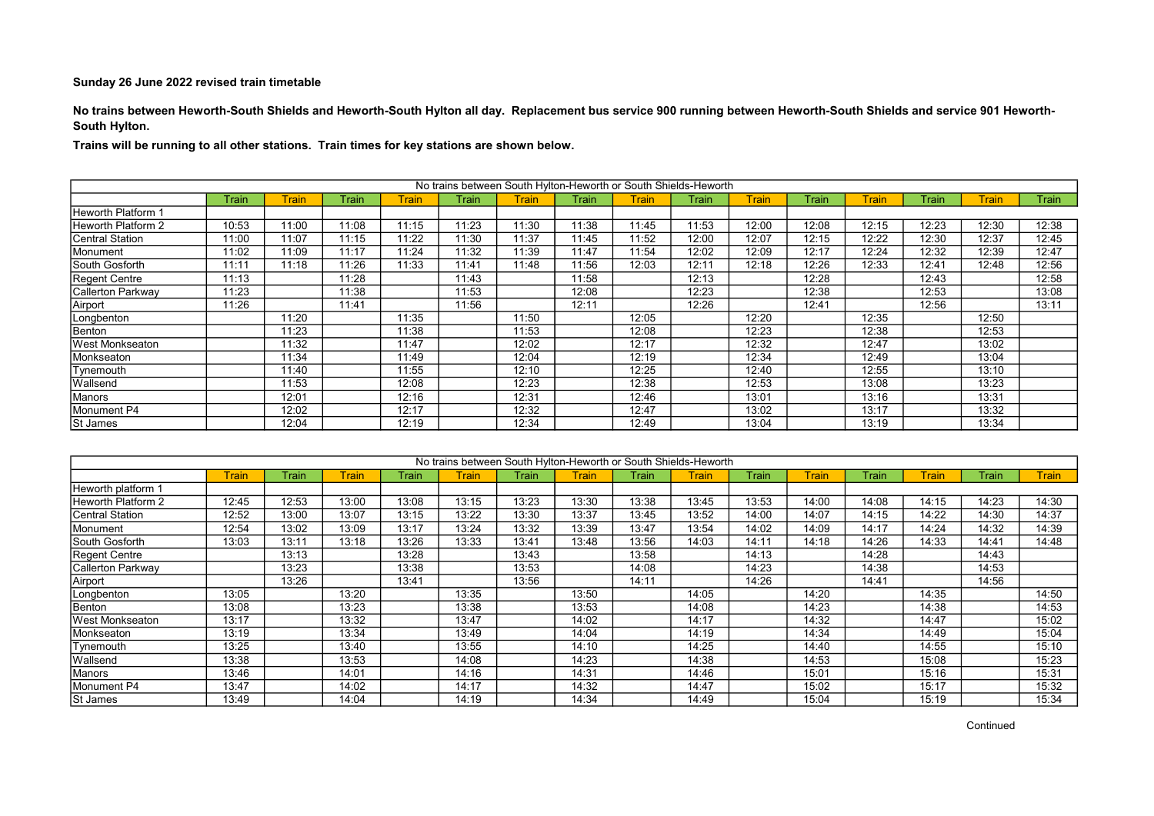No trains between Heworth-South Shields and Heworth-South Hylton all day. Replacement bus service 900 running between Heworth-South Shields and service 901 Heworth-South Hylton.

|                        | No trains between South Hylton-Heworth or South Shields-Heworth |              |              |       |       |              |       |       |       |              |       |              |       |              |       |
|------------------------|-----------------------------------------------------------------|--------------|--------------|-------|-------|--------------|-------|-------|-------|--------------|-------|--------------|-------|--------------|-------|
|                        | Train                                                           | <b>Train</b> | <b>Train</b> | Train | Train | <b>Train</b> | Train | Train | Train | <b>Train</b> | Train | <b>Train</b> | Train | <b>Train</b> | Train |
| Heworth Platform 1     |                                                                 |              |              |       |       |              |       |       |       |              |       |              |       |              |       |
| Heworth Platform 2     | 10:53                                                           | 11:00        | 11:08        | 11:15 | 11:23 | 11:30        | 11:38 | 11:45 | 11:53 | 12:00        | 12:08 | 12:15        | 12:23 | 12:30        | 12:38 |
| <b>Central Station</b> | 11:00                                                           | 11:07        | 11:15        | 11:22 | 11:30 | 11:37        | 11:45 | 11:52 | 12:00 | 12:07        | 12:15 | 12:22        | 12:30 | 12:37        | 12:45 |
| Monument               | 11:02                                                           | 11:09        | 11:17        | 11:24 | 11:32 | 11:39        | 11:47 | 11:54 | 12:02 | 12:09        | 12:17 | 12:24        | 12:32 | 12:39        | 12:47 |
| South Gosforth         | 11:11                                                           | 11:18        | 11:26        | 11:33 | 11:41 | 11:48        | 11:56 | 12:03 | 12:11 | 12:18        | 12:26 | 12:33        | 12:41 | 12:48        | 12:56 |
| Regent Centre          | 11:13                                                           |              | 11:28        |       | 11:43 |              | 11:58 |       | 12:13 |              | 12:28 |              | 12:43 |              | 12:58 |
| Callerton Parkway      | 11:23                                                           |              | 11:38        |       | 11:53 |              | 12:08 |       | 12:23 |              | 12:38 |              | 12:53 |              | 13:08 |
| Airport                | 11:26                                                           |              | 11:41        |       | 11:56 |              | 12:11 |       | 12:26 |              | 12:41 |              | 12:56 |              | 13:11 |
| Longbenton             |                                                                 | 11:20        |              | 11:35 |       | 11:50        |       | 12:05 |       | 12:20        |       | 12:35        |       | 12:50        |       |
| Benton                 |                                                                 | 11:23        |              | 11:38 |       | 11:53        |       | 12:08 |       | 12:23        |       | 12:38        |       | 12:53        |       |
| West Monkseaton        |                                                                 | 11:32        |              | 11:47 |       | 12:02        |       | 12:17 |       | 12:32        |       | 12:47        |       | 13:02        |       |
| Monkseaton             |                                                                 | 11:34        |              | 11:49 |       | 12:04        |       | 12:19 |       | 12:34        |       | 12:49        |       | 13:04        |       |
| Tynemouth              |                                                                 | 11:40        |              | 11:55 |       | 12:10        |       | 12:25 |       | 12:40        |       | 12:55        |       | 13:10        |       |
| <b>Wallsend</b>        |                                                                 | 11:53        |              | 12:08 |       | 12:23        |       | 12:38 |       | 12:53        |       | 13:08        |       | 13:23        |       |
| Manors                 |                                                                 | 12:01        |              | 12:16 |       | 12:31        |       | 12:46 |       | 13:01        |       | 13:16        |       | 13:31        |       |
| Monument P4            |                                                                 | 12:02        |              | 12:17 |       | 12:32        |       | 12:47 |       | 13:02        |       | 13:17        |       | 13:32        |       |
| St James               |                                                                 | 12:04        |              | 12:19 |       | 12:34        |       | 12:49 |       | 13:04        |       | 13:19        |       | 13:34        |       |

|                    | No trains between South Hylton-Heworth or South Shields-Heworth |       |              |       |              |       |              |       |       |       |              |       |              |       |              |
|--------------------|-----------------------------------------------------------------|-------|--------------|-------|--------------|-------|--------------|-------|-------|-------|--------------|-------|--------------|-------|--------------|
|                    | <b>Train</b>                                                    | Train | <b>Train</b> | Train | <b>Train</b> | Train | <b>Train</b> | Train | Train | Train | <b>Train</b> | Train | <b>Train</b> | Train | <b>Train</b> |
| Heworth platform 1 |                                                                 |       |              |       |              |       |              |       |       |       |              |       |              |       |              |
| Heworth Platform 2 | 12:45                                                           | 12:53 | 13:00        | 13:08 | 13:15        | 13:23 | 13:30        | 13:38 | 13:45 | 13:53 | 14:00        | 14:08 | 14:15        | 14:23 | 14:30        |
| Central Station    | 12:52                                                           | 13:00 | 13:07        | 13:15 | 13:22        | 13:30 | 13:37        | 13:45 | 13:52 | 14:00 | 14:07        | 14:15 | 14:22        | 14:30 | 14:37        |
| Monument           | 12:54                                                           | 13:02 | 13:09        | 13:17 | 13:24        | 13:32 | 13:39        | 13:47 | 13:54 | 14:02 | 14:09        | 14:17 | 14:24        | 14:32 | 14:39        |
| South Gosforth     | 13:03                                                           | 13:11 | 13:18        | 13:26 | 13:33        | 13:41 | 13:48        | 13:56 | 14:03 | 14:11 | 14:18        | 14:26 | 14:33        | 14:41 | 14:48        |
| Regent Centre      |                                                                 | 13:13 |              | 13:28 |              | 13:43 |              | 13:58 |       | 14:13 |              | 14:28 |              | 14:43 |              |
| Callerton Parkway  |                                                                 | 13:23 |              | 13:38 |              | 13:53 |              | 14:08 |       | 14:23 |              | 14:38 |              | 14:53 |              |
| Airport            |                                                                 | 13:26 |              | 13:41 |              | 13:56 |              | 14:11 |       | 14:26 |              | 14:41 |              | 14:56 |              |
| Longbenton         | 13:05                                                           |       | 13:20        |       | 13:35        |       | 13:50        |       | 14:05 |       | 14:20        |       | 14:35        |       | 14:50        |
| Benton             | 13:08                                                           |       | 13:23        |       | 13:38        |       | 13:53        |       | 14:08 |       | 14:23        |       | 14:38        |       | 14:53        |
| West Monkseaton    | 13:17                                                           |       | 13:32        |       | 13:47        |       | 14:02        |       | 14:17 |       | 14:32        |       | 14:47        |       | 15:02        |
| Monkseaton         | 13:19                                                           |       | 13:34        |       | 13:49        |       | 14:04        |       | 14:19 |       | 14:34        |       | 14:49        |       | 15:04        |
| Tynemouth          | 13:25                                                           |       | 13:40        |       | 13:55        |       | 14:10        |       | 14:25 |       | 14:40        |       | 14:55        |       | 15:10        |
| Wallsend           | 13:38                                                           |       | 13:53        |       | 14:08        |       | 14:23        |       | 14:38 |       | 14:53        |       | 15:08        |       | 15:23        |
| Manors             | 13:46                                                           |       | 14:01        |       | 14:16        |       | 14:31        |       | 14:46 |       | 15:01        |       | 15:16        |       | 15:31        |
| Monument P4        | 13:47                                                           |       | 14:02        |       | 14:17        |       | 14:32        |       | 14:47 |       | 15:02        |       | 15:17        |       | 15:32        |
| <b>St James</b>    | 13:49                                                           |       | 14:04        |       | 14:19        |       | 14:34        |       | 14:49 |       | 15:04        |       | 15:19        |       | 15:34        |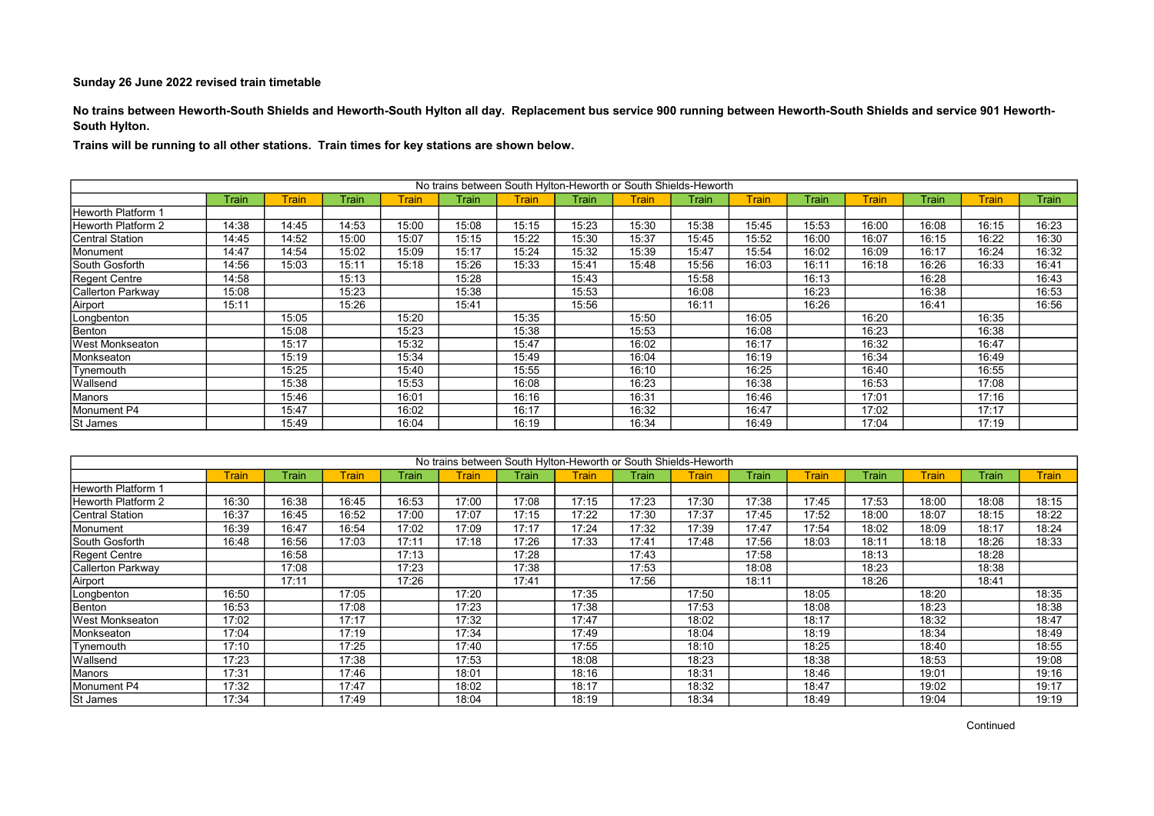No trains between Heworth-South Shields and Heworth-South Hylton all day. Replacement bus service 900 running between Heworth-South Shields and service 901 Heworth-South Hylton.

|                    | No trains between South Hylton-Heworth or South Shields-Heworth |              |       |              |       |              |              |       |       |              |       |              |       |              |              |
|--------------------|-----------------------------------------------------------------|--------------|-------|--------------|-------|--------------|--------------|-------|-------|--------------|-------|--------------|-------|--------------|--------------|
|                    | Train                                                           | <b>Train</b> | Train | <b>Train</b> | Train | <b>Train</b> | <b>Train</b> | Train | Train | <b>Train</b> | Train | <b>Train</b> | Train | <b>Train</b> | <b>Train</b> |
| Heworth Platform 1 |                                                                 |              |       |              |       |              |              |       |       |              |       |              |       |              |              |
| Heworth Platform 2 | 14:38                                                           | 14:45        | 14:53 | 15:00        | 15:08 | 15:15        | 15:23        | 15:30 | 15:38 | 15:45        | 15:53 | 16:00        | 16:08 | 16:15        | 16:23        |
| Central Station    | 14:45                                                           | 14:52        | 15:00 | 15:07        | 15:15 | 15:22        | 15:30        | 15:37 | 15:45 | 15:52        | 16:00 | 16:07        | 16:15 | 16:22        | 16:30        |
| Monument           | 14:47                                                           | 14:54        | 15:02 | 15:09        | 15:17 | 15:24        | 15:32        | 15:39 | 15:47 | 15:54        | 16:02 | 16:09        | 16:17 | 16:24        | 16:32        |
| South Gosforth     | 14:56                                                           | 15:03        | 15:11 | 15:18        | 15:26 | 15:33        | 15:41        | 15:48 | 15:56 | 16:03        | 16:11 | 16:18        | 16:26 | 16:33        | 16:41        |
| Regent Centre      | 14:58                                                           |              | 15:13 |              | 15:28 |              | 15:43        |       | 15:58 |              | 16:13 |              | 16:28 |              | 16:43        |
| Callerton Parkway  | 15:08                                                           |              | 15:23 |              | 15:38 |              | 15:53        |       | 16:08 |              | 16:23 |              | 16:38 |              | 16:53        |
| Airport            | 15:11                                                           |              | 15:26 |              | 15:41 |              | 15:56        |       | 16:11 |              | 16:26 |              | 16:41 |              | 16:56        |
| Longbenton         |                                                                 | 15:05        |       | 15:20        |       | 15:35        |              | 15:50 |       | 16:05        |       | 16:20        |       | 16:35        |              |
| Benton             |                                                                 | 15:08        |       | 15:23        |       | 15:38        |              | 15:53 |       | 16:08        |       | 16:23        |       | 16:38        |              |
| West Monkseaton    |                                                                 | 15:17        |       | 15:32        |       | 15:47        |              | 16:02 |       | 16:17        |       | 16:32        |       | 16:47        |              |
| Monkseaton         |                                                                 | 15:19        |       | 15:34        |       | 15:49        |              | 16:04 |       | 16:19        |       | 16:34        |       | 16:49        |              |
| Tynemouth          |                                                                 | 15:25        |       | 15:40        |       | 15:55        |              | 16:10 |       | 16:25        |       | 16:40        |       | 16:55        |              |
| Wallsend           |                                                                 | 15:38        |       | 15:53        |       | 16:08        |              | 16:23 |       | 16:38        |       | 16:53        |       | 17:08        |              |
| Manors             |                                                                 | 15:46        |       | 16:01        |       | 16:16        |              | 16:31 |       | 16:46        |       | 17:01        |       | 17:16        |              |
| Monument P4        |                                                                 | 15:47        |       | 16:02        |       | 16:17        |              | 16:32 |       | 16:47        |       | 17:02        |       | 17:17        |              |
| St James           |                                                                 | 15:49        |       | 16:04        |       | 16:19        |              | 16:34 |       | 16:49        |       | 17:04        |       | 17:19        |              |

|                    |       |       |       |       | No trains between South Hylton-Heworth or South Shields-Heworth |       |       |       |       |       |              |       |       |       |              |
|--------------------|-------|-------|-------|-------|-----------------------------------------------------------------|-------|-------|-------|-------|-------|--------------|-------|-------|-------|--------------|
|                    | Train | Train | Train | Train | <b>Train</b>                                                    | Train | Train | Train | Train | Train | <b>Train</b> | Train | Train | Train | <b>Train</b> |
| Heworth Platform 1 |       |       |       |       |                                                                 |       |       |       |       |       |              |       |       |       |              |
| Heworth Platform 2 | 16:30 | 16:38 | 16:45 | 16:53 | 17:00                                                           | 17:08 | 17:15 | 17:23 | 17:30 | 17:38 | 17:45        | 17:53 | 18:00 | 18:08 | 18:15        |
| Central Station    | 16:37 | 16:45 | 16:52 | 17:00 | 17:07                                                           | 17:15 | 17:22 | 17:30 | 17:37 | 17:45 | 17:52        | 18:00 | 18:07 | 18:15 | 18:22        |
| Monument           | 16:39 | 16:47 | 16:54 | 17:02 | 17:09                                                           | 17:17 | 17:24 | 17:32 | 17:39 | 17:47 | 17:54        | 18:02 | 18:09 | 18:17 | 18:24        |
| South Gosforth     | 16:48 | 16:56 | 17:03 | 17:11 | 17:18                                                           | 17:26 | 17:33 | 17:41 | 17:48 | 17:56 | 18:03        | 18:11 | 18:18 | 18:26 | 18:33        |
| Regent Centre      |       | 16:58 |       | 17:13 |                                                                 | 17:28 |       | 17:43 |       | 17:58 |              | 18:13 |       | 18:28 |              |
| Callerton Parkway  |       | 17:08 |       | 17:23 |                                                                 | 17:38 |       | 17:53 |       | 18:08 |              | 18:23 |       | 18:38 |              |
| Airport            |       | 17:11 |       | 17:26 |                                                                 | 17:41 |       | 17:56 |       | 18:11 |              | 18:26 |       | 18:41 |              |
| Longbenton         | 16:50 |       | 17:05 |       | 17:20                                                           |       | 17:35 |       | 17:50 |       | 18:05        |       | 18:20 |       | 18:35        |
| Benton             | 16:53 |       | 17:08 |       | 17:23                                                           |       | 17:38 |       | 17:53 |       | 18:08        |       | 18:23 |       | 18:38        |
| West Monkseaton    | 17:02 |       | 17:17 |       | 17:32                                                           |       | 17:47 |       | 18:02 |       | 18:17        |       | 18:32 |       | 18:47        |
| Monkseaton         | 17:04 |       | 17:19 |       | 17:34                                                           |       | 17:49 |       | 18:04 |       | 18:19        |       | 18:34 |       | 18:49        |
| Tynemouth          | 17:10 |       | 17:25 |       | 17:40                                                           |       | 17:55 |       | 18:10 |       | 18:25        |       | 18:40 |       | 18:55        |
| Wallsend           | 17:23 |       | 17:38 |       | 17:53                                                           |       | 18:08 |       | 18:23 |       | 18:38        |       | 18:53 |       | 19:08        |
| Manors             | 17:31 |       | 17:46 |       | 18:01                                                           |       | 18:16 |       | 18:31 |       | 18:46        |       | 19:01 |       | 19:16        |
| Monument P4        | 17:32 |       | 17:47 |       | 18:02                                                           |       | 18:17 |       | 18:32 |       | 18:47        |       | 19:02 |       | 19:17        |
| <b>St James</b>    | 17:34 |       | 17:49 |       | 18:04                                                           |       | 18:19 |       | 18:34 |       | 18:49        |       | 19:04 |       | 19:19        |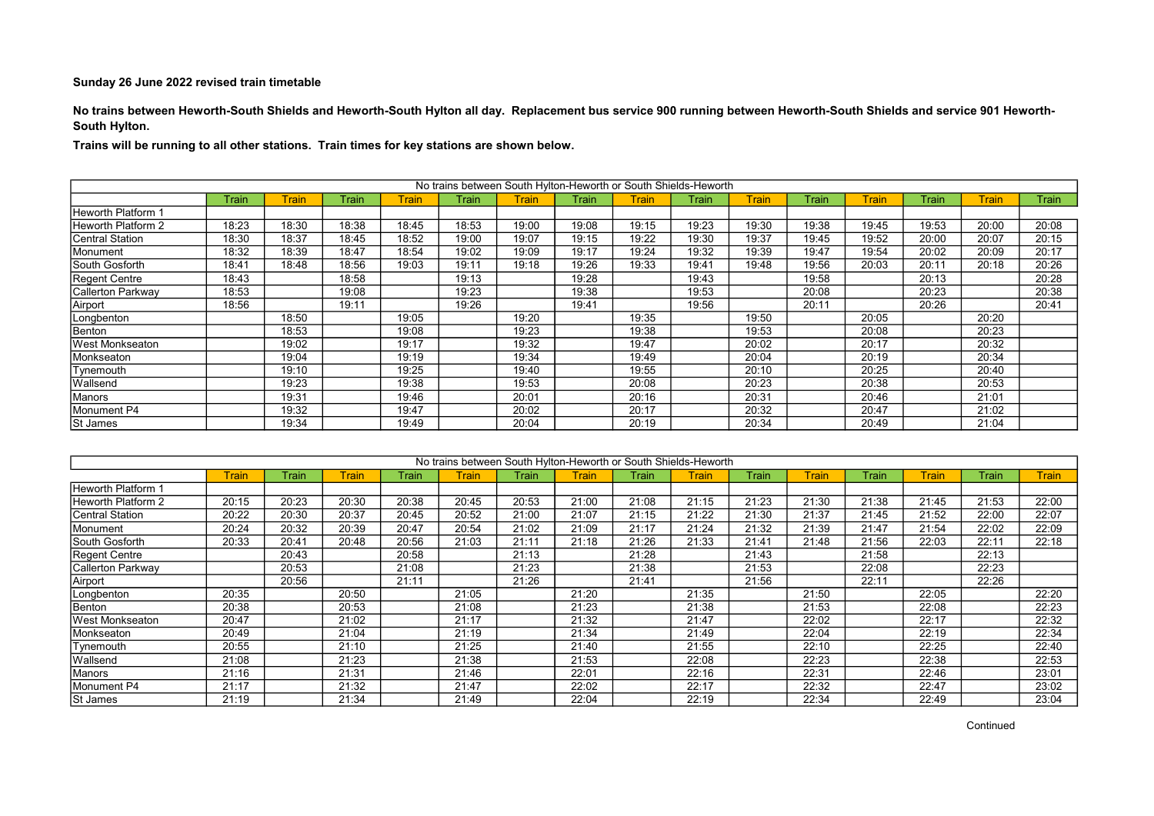No trains between Heworth-South Shields and Heworth-South Hylton all day. Replacement bus service 900 running between Heworth-South Shields and service 901 Heworth-South Hylton.

|                    | No trains between South Hylton-Heworth or South Shields-Heworth |       |       |         |       |              |       |       |       |              |       |              |              |       |              |
|--------------------|-----------------------------------------------------------------|-------|-------|---------|-------|--------------|-------|-------|-------|--------------|-------|--------------|--------------|-------|--------------|
|                    | Train                                                           | Train | Train | Train l | Train | <b>Train</b> | Train | Train | Train | <b>Train</b> | Train | <b>Train</b> | <b>Train</b> | Train | <b>Train</b> |
| Heworth Platform 1 |                                                                 |       |       |         |       |              |       |       |       |              |       |              |              |       |              |
| Heworth Platform 2 | 18:23                                                           | 18:30 | 18:38 | 18:45   | 18:53 | 19:00        | 19:08 | 19:15 | 19:23 | 19:30        | 19:38 | 19:45        | 19:53        | 20:00 | 20:08        |
| Central Station    | 18:30                                                           | 18:37 | 18:45 | 18:52   | 19:00 | 19:07        | 19:15 | 19:22 | 19:30 | 19:37        | 19:45 | 19:52        | 20:00        | 20:07 | 20:15        |
| Monument           | 18:32                                                           | 18:39 | 18:47 | 18:54   | 19:02 | 19:09        | 19:17 | 19:24 | 19:32 | 19:39        | 19:47 | 19:54        | 20:02        | 20:09 | 20:17        |
| South Gosforth     | 18:41                                                           | 18:48 | 18:56 | 19:03   | 19:11 | 19:18        | 19:26 | 19:33 | 19:41 | 19:48        | 19:56 | 20:03        | 20:11        | 20:18 | 20:26        |
| Regent Centre      | 18:43                                                           |       | 18:58 |         | 19:13 |              | 19:28 |       | 19:43 |              | 19:58 |              | 20:13        |       | 20:28        |
| Callerton Parkway  | 18:53                                                           |       | 19:08 |         | 19:23 |              | 19:38 |       | 19:53 |              | 20:08 |              | 20:23        |       | 20:38        |
| Airport            | 18:56                                                           |       | 19:11 |         | 19:26 |              | 19:41 |       | 19:56 |              | 20:11 |              | 20:26        |       | 20:41        |
| Longbenton         |                                                                 | 18:50 |       | 19:05   |       | 19:20        |       | 19:35 |       | 19:50        |       | 20:05        |              | 20:20 |              |
| Benton             |                                                                 | 18:53 |       | 19:08   |       | 19:23        |       | 19:38 |       | 19:53        |       | 20:08        |              | 20:23 |              |
| West Monkseaton    |                                                                 | 19:02 |       | 19:17   |       | 19:32        |       | 19:47 |       | 20:02        |       | 20:17        |              | 20:32 |              |
| Monkseaton         |                                                                 | 19:04 |       | 19:19   |       | 19:34        |       | 19:49 |       | 20:04        |       | 20:19        |              | 20:34 |              |
| Tynemouth          |                                                                 | 19:10 |       | 19:25   |       | 19:40        |       | 19:55 |       | 20:10        |       | 20:25        |              | 20:40 |              |
| <b>Wallsend</b>    |                                                                 | 19:23 |       | 19:38   |       | 19:53        |       | 20:08 |       | 20:23        |       | 20:38        |              | 20:53 |              |
| Manors             |                                                                 | 19:31 |       | 19:46   |       | 20:01        |       | 20:16 |       | 20:31        |       | 20:46        |              | 21:01 |              |
| Monument P4        |                                                                 | 19:32 |       | 19:47   |       | 20:02        |       | 20:17 |       | 20:32        |       | 20:47        |              | 21:02 |              |
| St James           |                                                                 | 19:34 |       | 19:49   |       | 20:04        |       | 20:19 |       | 20:34        |       | 20:49        |              | 21:04 |              |

|                        |       |       |       |       | No trains between South Hylton-Heworth or South Shields-Heworth |       |       |       |       |       |       |       |       |         |              |
|------------------------|-------|-------|-------|-------|-----------------------------------------------------------------|-------|-------|-------|-------|-------|-------|-------|-------|---------|--------------|
|                        | Train | Train | Train | Train | <b>Train</b>                                                    | Train | Train | Train | Train | Train | Train | Train | Train | Frain l | <b>Train</b> |
| Heworth Platform 1     |       |       |       |       |                                                                 |       |       |       |       |       |       |       |       |         |              |
| Heworth Platform 2     | 20:15 | 20:23 | 20:30 | 20:38 | 20:45                                                           | 20:53 | 21:00 | 21:08 | 21:15 | 21:23 | 21:30 | 21:38 | 21:45 | 21:53   | 22:00        |
| <b>Central Station</b> | 20:22 | 20:30 | 20:37 | 20:45 | 20:52                                                           | 21:00 | 21:07 | 21:15 | 21:22 | 21:30 | 21:37 | 21:45 | 21:52 | 22:00   | 22:07        |
| Monument               | 20:24 | 20:32 | 20:39 | 20:47 | 20:54                                                           | 21:02 | 21:09 | 21:17 | 21:24 | 21:32 | 21:39 | 21:47 | 21:54 | 22:02   | 22:09        |
| South Gosforth         | 20:33 | 20:41 | 20:48 | 20:56 | 21:03                                                           | 21:11 | 21:18 | 21:26 | 21:33 | 21:41 | 21:48 | 21:56 | 22:03 | 22:11   | 22:18        |
| <b>Regent Centre</b>   |       | 20:43 |       | 20:58 |                                                                 | 21:13 |       | 21:28 |       | 21:43 |       | 21:58 |       | 22:13   |              |
| Callerton Parkway      |       | 20:53 |       | 21:08 |                                                                 | 21:23 |       | 21:38 |       | 21:53 |       | 22:08 |       | 22:23   |              |
| Airport                |       | 20:56 |       | 21:11 |                                                                 | 21:26 |       | 21:41 |       | 21:56 |       | 22:11 |       | 22:26   |              |
| Longbenton             | 20:35 |       | 20:50 |       | 21:05                                                           |       | 21:20 |       | 21:35 |       | 21:50 |       | 22:05 |         | 22:20        |
| Benton                 | 20:38 |       | 20:53 |       | 21:08                                                           |       | 21:23 |       | 21:38 |       | 21:53 |       | 22:08 |         | 22:23        |
| West Monkseaton        | 20:47 |       | 21:02 |       | 21:17                                                           |       | 21:32 |       | 21:47 |       | 22:02 |       | 22:17 |         | 22:32        |
| Monkseaton             | 20:49 |       | 21:04 |       | 21:19                                                           |       | 21:34 |       | 21:49 |       | 22:04 |       | 22:19 |         | 22:34        |
| Tynemouth              | 20:55 |       | 21:10 |       | 21:25                                                           |       | 21:40 |       | 21:55 |       | 22:10 |       | 22:25 |         | 22:40        |
| Wallsend               | 21:08 |       | 21:23 |       | 21:38                                                           |       | 21:53 |       | 22:08 |       | 22:23 |       | 22:38 |         | 22:53        |
| Manors                 | 21:16 |       | 21:31 |       | 21:46                                                           |       | 22:01 |       | 22:16 |       | 22:31 |       | 22:46 |         | 23:01        |
| Monument P4            | 21:17 |       | 21:32 |       | 21:47                                                           |       | 22:02 |       | 22:17 |       | 22:32 |       | 22:47 |         | 23:02        |
| <b>St James</b>        | 21:19 |       | 21:34 |       | 21:49                                                           |       | 22:04 |       | 22:19 |       | 22:34 |       | 22:49 |         | 23:04        |